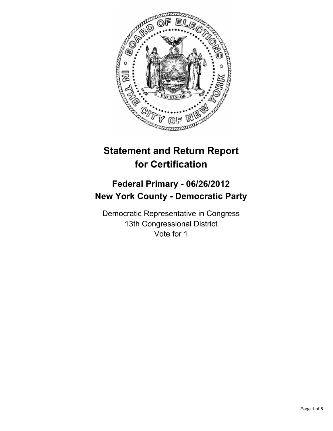

# **Statement and Return Report for Certification**

## **Federal Primary - 06/26/2012 New York County - Democratic Party**

Democratic Representative in Congress 13th Congressional District Vote for 1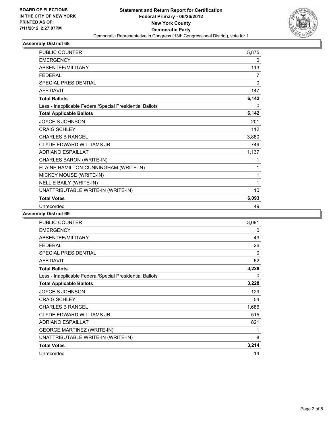

### **Assembly District 68**

| <b>PUBLIC COUNTER</b>                                    | 5,875          |
|----------------------------------------------------------|----------------|
| <b>EMERGENCY</b>                                         | 0              |
| ABSENTEE/MILITARY                                        | 113            |
| <b>FEDERAL</b>                                           | $\overline{7}$ |
| SPECIAL PRESIDENTIAL                                     | 0              |
| <b>AFFIDAVIT</b>                                         | 147            |
| <b>Total Ballots</b>                                     | 6,142          |
| Less - Inapplicable Federal/Special Presidential Ballots | 0              |
| <b>Total Applicable Ballots</b>                          | 6,142          |
| <b>JOYCE S JOHNSON</b>                                   | 201            |
| <b>CRAIG SCHLEY</b>                                      | 112            |
| <b>CHARLES B RANGEL</b>                                  | 3,880          |
| CLYDE EDWARD WILLIAMS JR.                                | 749            |
| <b>ADRIANO ESPAILLAT</b>                                 | 1,137          |
| CHARLES BARON (WRITE-IN)                                 | 1              |
| ELAINE HAMILTON-CUNNINGHAM (WRITE-IN)                    | 1              |
| MICKEY MOUSE (WRITE-IN)                                  | 1              |
| NELLIE BAILY (WRITE-IN)                                  | 1              |
| UNATTRIBUTABLE WRITE-IN (WRITE-IN)                       | 10             |
| <b>Total Votes</b>                                       | 6,093          |
| Unrecorded                                               | 49             |

### **Assembly District 69**

| PUBLIC COUNTER                                           | 3,091 |
|----------------------------------------------------------|-------|
| <b>EMERGENCY</b>                                         | 0     |
| ABSENTEE/MILITARY                                        | 49    |
| <b>FEDERAL</b>                                           | 26    |
| <b>SPECIAL PRESIDENTIAL</b>                              | 0     |
| <b>AFFIDAVIT</b>                                         | 62    |
| <b>Total Ballots</b>                                     | 3,228 |
| Less - Inapplicable Federal/Special Presidential Ballots | 0     |
| <b>Total Applicable Ballots</b>                          | 3,228 |
| <b>JOYCE S JOHNSON</b>                                   | 129   |
| <b>CRAIG SCHLEY</b>                                      | 54    |
| <b>CHARLES B RANGEL</b>                                  | 1,686 |
| CLYDE EDWARD WILLIAMS JR.                                | 515   |
| <b>ADRIANO ESPAILLAT</b>                                 | 821   |
| <b>GEORGE MARTINEZ (WRITE-IN)</b>                        | 1     |
| UNATTRIBUTABLE WRITE-IN (WRITE-IN)                       | 8     |
| <b>Total Votes</b>                                       | 3,214 |
| Unrecorded                                               | 14    |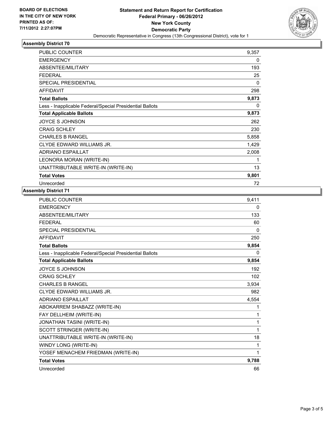

### **Assembly District 70**

| <b>PUBLIC COUNTER</b>                                    | 9,357 |
|----------------------------------------------------------|-------|
| <b>EMERGENCY</b>                                         | 0     |
| ABSENTEE/MILITARY                                        | 193   |
| <b>FEDERAL</b>                                           | 25    |
| <b>SPECIAL PRESIDENTIAL</b>                              | 0     |
| <b>AFFIDAVIT</b>                                         | 298   |
| <b>Total Ballots</b>                                     | 9,873 |
| Less - Inapplicable Federal/Special Presidential Ballots | 0     |
| <b>Total Applicable Ballots</b>                          | 9,873 |
| JOYCE S JOHNSON                                          | 262   |
| <b>CRAIG SCHLEY</b>                                      | 230   |
| <b>CHARLES B RANGEL</b>                                  | 5,858 |
| CLYDE EDWARD WILLIAMS JR.                                | 1,429 |
| <b>ADRIANO ESPAILLAT</b>                                 | 2,008 |
| LEONORA MORAN (WRITE-IN)                                 | 1     |
| UNATTRIBUTABLE WRITE-IN (WRITE-IN)                       | 13    |
| <b>Total Votes</b>                                       | 9,801 |
| Unrecorded                                               | 72    |

#### **Assembly District 71**

| <b>PUBLIC COUNTER</b>                                    | 9,411 |
|----------------------------------------------------------|-------|
| <b>EMERGENCY</b>                                         | 0     |
| ABSENTEE/MILITARY                                        | 133   |
| <b>FEDERAL</b>                                           | 60    |
| <b>SPECIAL PRESIDENTIAL</b>                              | 0     |
| <b>AFFIDAVIT</b>                                         | 250   |
| <b>Total Ballots</b>                                     | 9,854 |
| Less - Inapplicable Federal/Special Presidential Ballots | 0     |
| <b>Total Applicable Ballots</b>                          | 9,854 |
| JOYCE S JOHNSON                                          | 192   |
| <b>CRAIG SCHLEY</b>                                      | 102   |
| <b>CHARLES B RANGEL</b>                                  | 3,934 |
| CLYDE EDWARD WILLIAMS JR.                                | 982   |
| <b>ADRIANO ESPAILLAT</b>                                 | 4,554 |
| ABOKARREM SHABAZZ (WRITE-IN)                             | 1     |
| FAY DELLHEIM (WRITE-IN)                                  | 1     |
| <b>JONATHAN TASINI (WRITE-IN)</b>                        | 1     |
| SCOTT STRINGER (WRITE-IN)                                | 1     |
| UNATTRIBUTABLE WRITE-IN (WRITE-IN)                       | 18    |
| WINDY LONG (WRITE-IN)                                    | 1     |
| YOSEF MENACHEM FRIEDMAN (WRITE-IN)                       | 1     |
| <b>Total Votes</b>                                       | 9,788 |
| Unrecorded                                               | 66    |
|                                                          |       |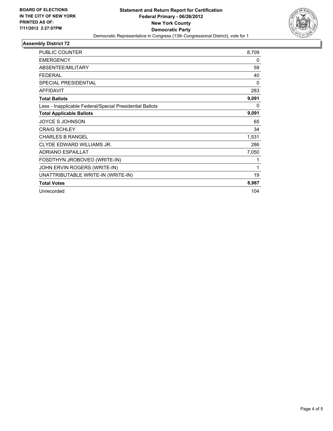

### **Assembly District 72**

| <b>PUBLIC COUNTER</b>                                    | 8,709        |
|----------------------------------------------------------|--------------|
| <b>EMERGENCY</b>                                         | 0            |
| ABSENTEE/MILITARY                                        | 59           |
| <b>FEDERAL</b>                                           | 40           |
| <b>SPECIAL PRESIDENTIAL</b>                              | $\mathbf{0}$ |
| <b>AFFIDAVIT</b>                                         | 283          |
| <b>Total Ballots</b>                                     | 9,091        |
| Less - Inapplicable Federal/Special Presidential Ballots | 0            |
| <b>Total Applicable Ballots</b>                          | 9,091        |
| <b>JOYCE S JOHNSON</b>                                   | 65           |
| <b>CRAIG SCHLEY</b>                                      | 34           |
| <b>CHARLES B RANGEL</b>                                  | 1,531        |
| CLYDE EDWARD WILLIAMS JR.                                | 286          |
| <b>ADRIANO ESPAILLAT</b>                                 | 7,050        |
| FOSDTHYN JROBOVEO (WRITE-IN)                             | 1            |
| JOHN ERVIN ROGERS (WRITE-IN)                             | 1            |
| UNATTRIBUTABLE WRITE-IN (WRITE-IN)                       | 19           |
| <b>Total Votes</b>                                       | 8,987        |
| Unrecorded                                               | 104          |